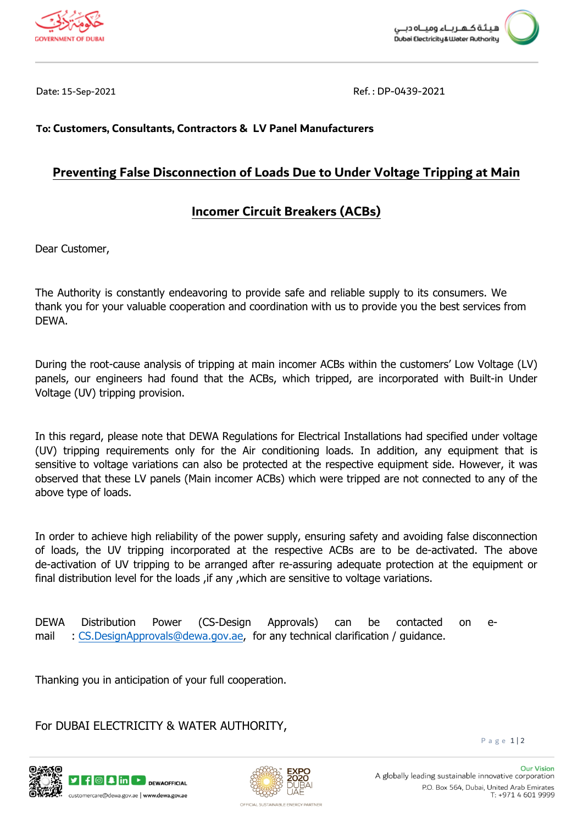



Date: 15-Sep-2021 Ref. : DP-0439-2021

## **To: Customers, Consultants, Contractors & LV Panel Manufacturers**

## **Preventing False Disconnection of Loads Due to Under Voltage Tripping at Main**

## **Incomer Circuit Breakers (ACBs)**

Dear Customer,

The Authority is constantly endeavoring to provide safe and reliable supply to its consumers. We thank you for your valuable cooperation and coordination with us to provide you the best services from DEWA.

During the root-cause analysis of tripping at main incomer ACBs within the customers' Low Voltage (LV) panels, our engineers had found that the ACBs, which tripped, are incorporated with Built-in Under Voltage (UV) tripping provision.

 In this regard, please note that DEWA Regulations for Electrical Installations had specified under voltage (UV) tripping requirements only for the Air conditioning loads. In addition, any equipment that is sensitive to voltage variations can also be protected at the respective equipment side. However, it was observed that these LV panels (Main incomer ACBs) which were tripped are not connected to any of the above type of loads.

In order to achieve high reliability of the power supply, ensuring safety and avoiding false disconnection of loads, the UV tripping incorporated at the respective ACBs are to be de-activated. The above de-activation of UV tripping to be arranged after re-assuring adequate protection at the equipment or final distribution level for the loads, if any, which are sensitive to voltage variations.

DEWA Distribution Power (CS-Design Approvals) can be contacted on email : [CS.DesignApprovals@dewa.gov.ae](mailto:CS.DesignApprovals@dewa.gov.ae), for any technical clarification / guidance.

Thanking you in anticipation of your full cooperation.

For DUBAI ELECTRICITY & WATER AUTHORITY,

P a g e 1 | 2